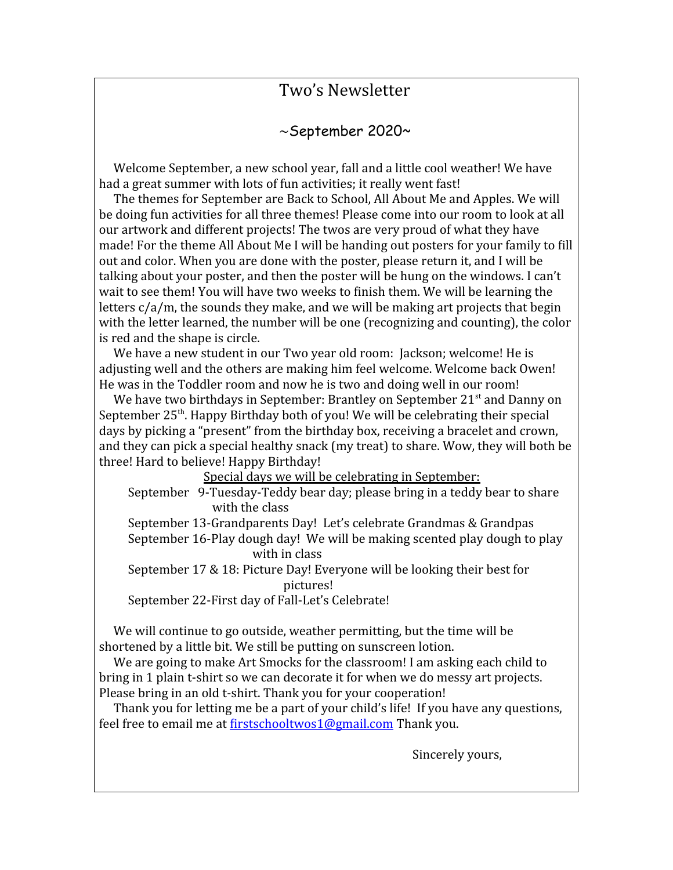## Two's Newsletter

## ~September 2020~

 Welcome September, a new school year, fall and a little cool weather! We have had a great summer with lots of fun activities; it really went fast!

 The themes for September are Back to School, All About Me and Apples. We will be doing fun activities for all three themes! Please come into our room to look at all our artwork and different projects! The twos are very proud of what they have made! For the theme All About Me I will be handing out posters for your family to fill out and color. When you are done with the poster, please return it, and I will be talking about your poster, and then the poster will be hung on the windows. I can't wait to see them! You will have two weeks to finish them. We will be learning the letters c/a/m, the sounds they make, and we will be making art projects that begin with the letter learned, the number will be one (recognizing and counting), the color is red and the shape is circle.

We have a new student in our Two year old room: Jackson; welcome! He is adjusting well and the others are making him feel welcome. Welcome back Owen! He was in the Toddler room and now he is two and doing well in our room!

We have two birthdays in September: Brantley on September 21<sup>st</sup> and Danny on September 25<sup>th</sup>. Happy Birthday both of you! We will be celebrating their special days by picking a "present" from the birthday box, receiving a bracelet and crown, and they can pick a special healthy snack (my treat) to share. Wow, they will both be three! Hard to believe! Happy Birthday!

Special days we will be celebrating in September:

 September 9-Tuesday-Teddy bear day; please bring in a teddy bear to share with the class

September 13-Grandparents Day! Let's celebrate Grandmas & Grandpas

 September 16-Play dough day! We will be making scented play dough to play with in class

 September 17 & 18: Picture Day! Everyone will be looking their best for pictures!

September 22-First day of Fall-Let's Celebrate!

 We will continue to go outside, weather permitting, but the time will be shortened by a little bit. We still be putting on sunscreen lotion.

 We are going to make Art Smocks for the classroom! I am asking each child to bring in 1 plain t-shirt so we can decorate it for when we do messy art projects. Please bring in an old t-shirt. Thank you for your cooperation!

 Thank you for letting me be a part of your child's life! If you have any questions, feel free to email me at [firstschooltwos1@gmail.com](mailto:firstschooltwos1@gmail.com) Thank you.

Sincerely yours,